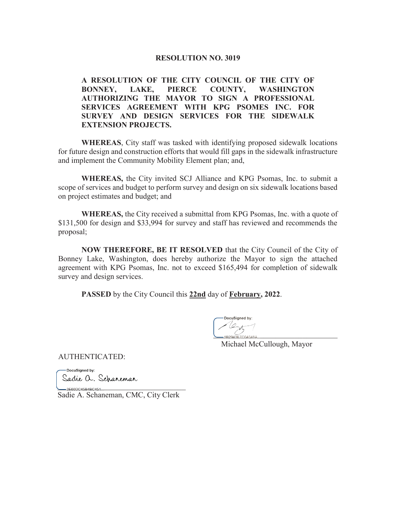#### **RESOLUTION NO. 3019**

A RESOLUTION OF THE CITY COUNCIL OF THE CITY OF BONNEY, LAKE, PIERCE COUNTY, WASHINGTON **BONNEY, LAKE, PIERCE COUNTY, WASHINGTON AUTHORIZING THE MAYOR TO SIGN A PROFESSIONAL 6ERVICES AGREEMENT WITH KPG PSOMES INC. FOR** SURVEY AND DESIGN SERVICES FOR THE SIDEWALK **EXTENSION PROJECTS.** 

**WHEREAS**, City staff was tasked with identifying proposed sidewalk locations for future design and construction efforts that would fill gaps in the sidewalk infrastructure and implement the Community Mobility Element plan; and,

**WHEREAS,** the City invited SCJ Alliance and KPG Psomas, Inc. to submit a scope of services and budget to perform survey and design on six sidewalk locations based on project estimates and budget; and

**WHEREAS,** the City received a submittal from KPG Psomas, Inc. with a quote of \$131,500 for design and \$33,994 for survey and staff has reviewed and recommends the proposal;

**NOW THEREFORE, BE IT RESOLVED** that the City Council of the City of Bonney Lake, Washington, does hereby authorize the Mayor to sign the attached agreement with KPG Psomas, Inc. not to exceed \$165,494 for completion of sidewalk survey and design services.

**PASSED** by the City Council this **22nd** day of **February, 2022**.

DocuSigned by:  $\frac{2}{18294357004048A}$ 

Michael McCullough, Mayor

AUTHENTICATED:

-DocuSianed by: Sadie a. Schareman

 $-3 \textsf{E} 60 \textsf{D} \textsf{C} 45 \textsf{B} 4 \textsf{B} \textsf{C} 454...$ Sadie A. Schaneman, CMC, City Clerk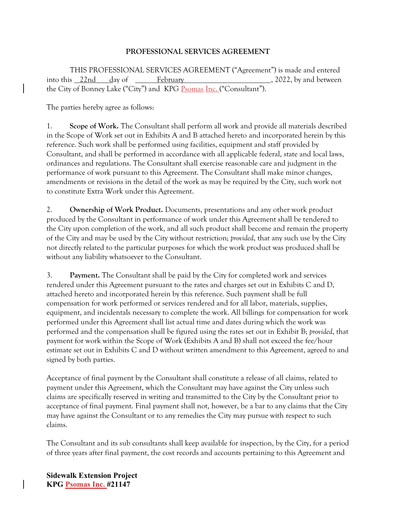### **PROFESSIONAL SERVICES AGREEMENT**

 THIS PROFESSIONAL SERVICES AGREEMENT ("Agreement") is made and entered into this 22nd day of February , 2022, by and between the City of Bonney Lake ("City") and KPG Psomas Inc. ("Consultant").

The parties hereby agree as follows:

1. **Scope of Work.** The Consultant shall perform all work and provide all materials described in the Scope of Work set out in Exhibits A and B attached hereto and incorporated herein by this reference. Such work shall be performed using facilities, equipment and staff provided by Consultant, and shall be performed in accordance with all applicable federal, state and local laws, ordinances and regulations. The Consultant shall exercise reasonable care and judgment in the performance of work pursuant to this Agreement. The Consultant shall make minor changes, amendments or revisions in the detail of the work as may be required by the City, such work not to constitute Extra Work under this Agreement.

2. **Ownership of Work Product.** Documents, presentations and any other work product produced by the Consultant in performance of work under this Agreement shall be tendered to the City upon completion of the work, and all such product shall become and remain the property of the City and may be used by the City without restriction; *provided*, that any such use by the City not directly related to the particular purposes for which the work product was produced shall be without any liability whatsoever to the Consultant.

3. **Payment.** The Consultant shall be paid by the City for completed work and services rendered under this Agreement pursuant to the rates and charges set out in Exhibits C and D, attached hereto and incorporated herein by this reference. Such payment shall be full compensation for work performed or services rendered and for all labor, materials, supplies, equipment, and incidentals necessary to complete the work. All billings for compensation for work performed under this Agreement shall list actual time and dates during which the work was performed and the compensation shall be figured using the rates set out in Exhibit B; *provided*, that payment for work within the Scope of Work (Exhibits A and B) shall not exceed the fee/hour estimate set out in Exhibits C and D without written amendment to this Agreement, agreed to and signed by both parties.

Acceptance of final payment by the Consultant shall constitute a release of all claims, related to payment under this Agreement, which the Consultant may have against the City unless such claims are specifically reserved in writing and transmitted to the City by the Consultant prior to acceptance of final payment. Final payment shall not, however, be a bar to any claims that the City may have against the Consultant or to any remedies the City may pursue with respect to such claims.

The Consultant and its sub consultants shall keep available for inspection, by the City, for a period of three years after final payment, the cost records and accounts pertaining to this Agreement and

**Sidewalk Extension Project KPG Psomas Inc. #21147**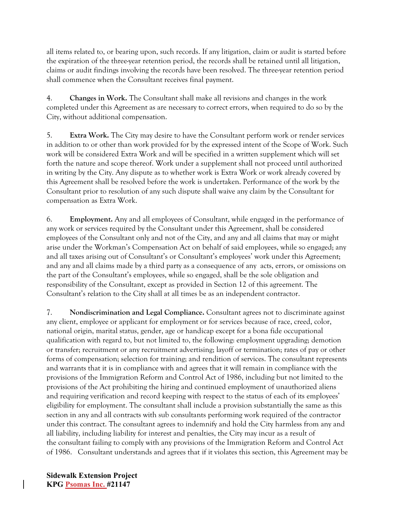all items related to, or bearing upon, such records. If any litigation, claim or audit is started before the expiration of the three-year retention period, the records shall be retained until all litigation, claims or audit findings involving the records have been resolved. The three-year retention period shall commence when the Consultant receives final payment.

4. **Changes in Work.** The Consultant shall make all revisions and changes in the work completed under this Agreement as are necessary to correct errors, when required to do so by the City, without additional compensation.

5. **Extra Work.** The City may desire to have the Consultant perform work or render services in addition to or other than work provided for by the expressed intent of the Scope of Work. Such work will be considered Extra Work and will be specified in a written supplement which will set forth the nature and scope thereof. Work under a supplement shall not proceed until authorized in writing by the City. Any dispute as to whether work is Extra Work or work already covered by this Agreement shall be resolved before the work is undertaken. Performance of the work by the Consultant prior to resolution of any such dispute shall waive any claim by the Consultant for compensation as Extra Work.

6. **Employment.** Any and all employees of Consultant, while engaged in the performance of any work or services required by the Consultant under this Agreement, shall be considered employees of the Consultant only and not of the City, and any and all claims that may or might arise under the Workman's Compensation Act on behalf of said employees, while so engaged; any and all taxes arising out of Consultant's or Consultant's employees' work under this Agreement; and any and all claims made by a third party as a consequence of any acts, errors, or omissions on the part of the Consultant's employees, while so engaged, shall be the sole obligation and responsibility of the Consultant, except as provided in Section 12 of this agreement. The Consultant's relation to the City shall at all times be as an independent contractor.

7. **Nondiscrimination and Legal Compliance.** Consultant agrees not to discriminate against any client, employee or applicant for employment or for services because of race, creed, color, national origin, marital status, gender, age or handicap except for a bona fide occupational qualification with regard to, but not limited to, the following: employment upgrading; demotion or transfer; recruitment or any recruitment advertising; layoff or termination; rates of pay or other forms of compensation; selection for training; and rendition of services. The consultant represents and warrants that it is in compliance with and agrees that it will remain in compliance with the provisions of the Immigration Reform and Control Act of 1986, including but not limited to the provisions of the Act prohibiting the hiring and continued employment of unauthorized aliens and requiring verification and record keeping with respect to the status of each of its employees' eligibility for employment. The consultant shall include a provision substantially the same as this section in any and all contracts with sub consultants performing work required of the contractor under this contract. The consultant agrees to indemnify and hold the City harmless from any and all liability, including liability for interest and penalties, the City may incur as a result of the consultant failing to comply with any provisions of the Immigration Reform and Control Act of 1986. Consultant understands and agrees that if it violates this section, this Agreement may be

**Sidewalk Extension Project KPG Psomas Inc. #21147**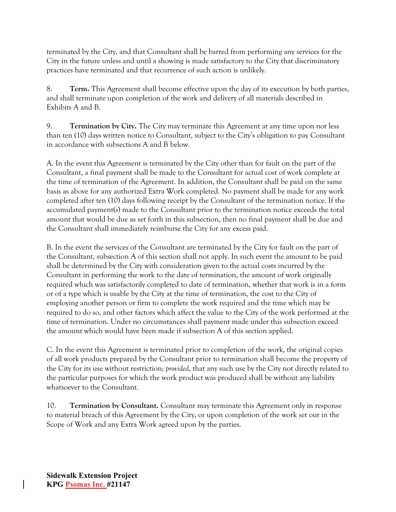terminated by the City, and that Consultant shall be barred from performing any services for the City in the future unless and until a showing is made satisfactory to the City that discriminatory practices have terminated and that recurrence of such action is unlikely.

8. **Term.** This Agreement shall become effective upon the day of its execution by both parties, and shall terminate upon completion of the work and delivery of all materials described in Exhibits A and B.

9. **Termination by City.** The City may terminate this Agreement at any time upon not less than ten (10) days written notice to Consultant, subject to the City's obligation to pay Consultant in accordance with subsections A and B below.

A. In the event this Agreement is terminated by the City other than for fault on the part of the Consultant, a final payment shall be made to the Consultant for actual cost of work complete at the time of termination of the Agreement. In addition, the Consultant shall be paid on the same basis as above for any authorized Extra Work completed. No payment shall be made for any work completed after ten (10) days following receipt by the Consultant of the termination notice. If the accumulated payment(s) made to the Consultant prior to the termination notice exceeds the total amount that would be due as set forth in this subsection, then no final payment shall be due and the Consultant shall immediately reimburse the City for any excess paid.

B. In the event the services of the Consultant are terminated by the City for fault on the part of the Consultant, subsection A of this section shall not apply. In such event the amount to be paid shall be determined by the City with consideration given to the actual costs incurred by the Consultant in performing the work to the date of termination, the amount of work originally required which was satisfactorily completed to date of termination, whether that work is in a form or of a type which is usable by the City at the time of termination, the cost to the City of employing another person or firm to complete the work required and the time which may be required to do so, and other factors which affect the value to the City of the work performed at the time of termination. Under no circumstances shall payment made under this subsection exceed the amount which would have been made if subsection A of this section applied.

C. In the event this Agreement is terminated prior to completion of the work, the original copies of all work products prepared by the Consultant prior to termination shall become the property of the City for its use without restriction; *provided*, that any such use by the City not directly related to the particular purposes for which the work product was produced shall be without any liability whatsoever to the Consultant.

10. **Termination by Consultant.** Consultant may terminate this Agreement only in response to material breach of this Agreement by the City, or upon completion of the work set out in the Scope of Work and any Extra Work agreed upon by the parties.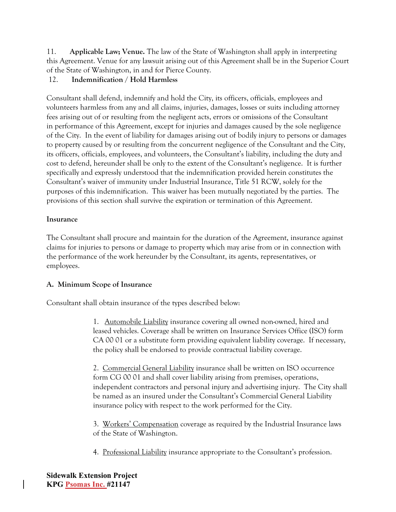11. **Applicable Law; Venue.** The law of the State of Washington shall apply in interpreting this Agreement. Venue for any lawsuit arising out of this Agreement shall be in the Superior Court of the State of Washington, in and for Pierce County.

# 12. **Indemnification / Hold Harmless**

Consultant shall defend, indemnify and hold the City, its officers, officials, employees and volunteers harmless from any and all claims, injuries, damages, losses or suits including attorney fees arising out of or resulting from the negligent acts, errors or omissions of the Consultant in performance of this Agreement, except for injuries and damages caused by the sole negligence of the City. In the event of liability for damages arising out of bodily injury to persons or damages to property caused by or resulting from the concurrent negligence of the Consultant and the City, its officers, officials, employees, and volunteers, the Consultant's liability, including the duty and cost to defend, hereunder shall be only to the extent of the Consultant's negligence. It is further specifically and expressly understood that the indemnification provided herein constitutes the Consultant's waiver of immunity under Industrial Insurance, Title 51 RCW, solely for the purposes of this indemnification. This waiver has been mutually negotiated by the parties. The provisions of this section shall survive the expiration or termination of this Agreement.

## **Insurance**

The Consultant shall procure and maintain for the duration of the Agreement, insurance against claims for injuries to persons or damage to property which may arise from or in connection with the performance of the work hereunder by the Consultant, its agents, representatives, or employees.

# **A. Minimum Scope of Insurance**

Consultant shall obtain insurance of the types described below:

1. Automobile Liability insurance covering all owned non-owned, hired and leased vehicles. Coverage shall be written on Insurance Services Office (ISO) form CA 00 01 or a substitute form providing equivalent liability coverage. If necessary, the policy shall be endorsed to provide contractual liability coverage.

2. Commercial General Liability insurance shall be written on ISO occurrence form CG 00 01 and shall cover liability arising from premises, operations, independent contractors and personal injury and advertising injury. The City shall be named as an insured under the Consultant's Commercial General Liability insurance policy with respect to the work performed for the City.

3. Workers' Compensation coverage as required by the Industrial Insurance laws of the State of Washington.

4. Professional Liability insurance appropriate to the Consultant's profession.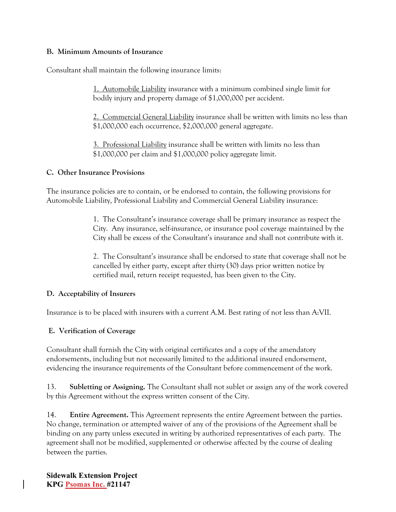### **B. Minimum Amounts of Insurance**

Consultant shall maintain the following insurance limits:

1. Automobile Liability insurance with a minimum combined single limit for bodily injury and property damage of \$1,000,000 per accident.

2. Commercial General Liability insurance shall be written with limits no less than \$1,000,000 each occurrence, \$2,000,000 general aggregate.

3. Professional Liability insurance shall be written with limits no less than \$1,000,000 per claim and \$1,000,000 policy aggregate limit.

## **C. Other Insurance Provisions**

The insurance policies are to contain, or be endorsed to contain, the following provisions for Automobile Liability, Professional Liability and Commercial General Liability insurance:

> 1. The Consultant's insurance coverage shall be primary insurance as respect the City. Any insurance, self-insurance, or insurance pool coverage maintained by the City shall be excess of the Consultant's insurance and shall not contribute with it.

> 2. The Consultant's insurance shall be endorsed to state that coverage shall not be cancelled by either party, except after thirty (30) days prior written notice by certified mail, return receipt requested, has been given to the City.

### **D. Acceptability of Insurers**

Insurance is to be placed with insurers with a current A.M. Best rating of not less than A:VII.

# **E. Verification of Coverage**

Consultant shall furnish the City with original certificates and a copy of the amendatory endorsements, including but not necessarily limited to the additional insured endorsement, evidencing the insurance requirements of the Consultant before commencement of the work.

13. **Subletting or Assigning.** The Consultant shall not sublet or assign any of the work covered by this Agreement without the express written consent of the City.

14. **Entire Agreement.** This Agreement represents the entire Agreement between the parties. No change, termination or attempted waiver of any of the provisions of the Agreement shall be binding on any party unless executed in writing by authorized representatives of each party. The agreement shall not be modified, supplemented or otherwise affected by the course of dealing between the parties.